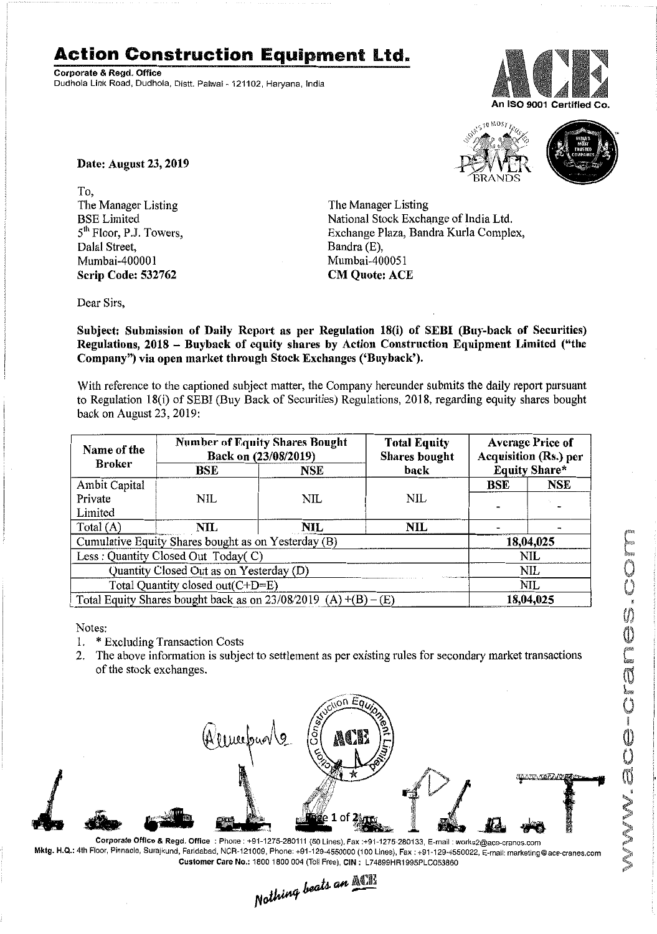## **Action Construction Equipment Ltd.**

Corporate & Regd. Office Dudhola Link Road, Dudhola, Distt. Palwal- 121102, Haryana, India



a MOS



Date: August 23,2019

To, The Manager Listing BSE Limited  $5<sup>th</sup>$  Floor, P.J. Towers, Dalal Street, Mumbai-400001 Scrip Code: 532762

The Manager Listing National Stock Exchange of India Ltd. Exchange Plaza, Bandra Kurla Complex, Bandra (E), Mumbai-400051 **CM Quote: ACE** 

Dear Sirs,

Subject: Submission of Daily Report as per Regulation 18(i) of SEBI (Buy-back of Securities) Regulations, 2018 - Buyback of equity shares by Action Construction Equipment Limited ("the Company") via open market through Stock Exchanges ('Buyback').

With reference to the captioned subject matter, the Company hereunder submits the daily report pursuant to Regulation 18(i) of SEB! (Buy Back of Securities) Regulations, 2018, regarding equity shares bought back on August 23, 2019:

| Name of the                                                       | <b>Number of Equity Shares Bought</b><br>Back on (23/08/2019) |      | <b>Total Equity</b><br><b>Shares</b> bought | <b>Average Price of</b><br><b>Acquisition (Rs.) per</b> |            |  |
|-------------------------------------------------------------------|---------------------------------------------------------------|------|---------------------------------------------|---------------------------------------------------------|------------|--|
| <b>Broker</b>                                                     | BSE<br><b>NSE</b>                                             | back | <b>Equity Share*</b>                        |                                                         |            |  |
| Ambit Capital                                                     |                                                               |      |                                             | <b>BSE</b>                                              | <b>NSE</b> |  |
| Private                                                           | NIL                                                           | NIL  | <b>NIL</b>                                  |                                                         |            |  |
| Limited                                                           |                                                               |      |                                             |                                                         |            |  |
| Total (A)                                                         | NTL                                                           | NIL  | NIL                                         |                                                         |            |  |
| Cumulative Equity Shares bought as on Yesterday (B)               |                                                               |      |                                             | 18,04,025                                               |            |  |
| Less: Quantity Closed Out Today(C)                                |                                                               |      |                                             | NIL                                                     |            |  |
| Quantity Closed Out as on Yesterday (D)                           |                                                               |      |                                             | NIL                                                     |            |  |
| Total Quantity closed out(C+D=E)                                  |                                                               |      |                                             |                                                         | NIL        |  |
| Total Equity Shares bought back as on $23/08/2019$ (A) +(B) – (E) |                                                               |      |                                             | 18,04,025                                               |            |  |

Notes:

- 1. \* Excluding Transaction Costs
- 2. The above information is subject to settlement as per existing rules for secondary market transactions of the stock exchanges.



Mktg. H,Q.: 4th Floor, Pinnacle, Surajkund, Farldabad, NCA-121009, Phone: +91-129-4550000 (100 Lines), Fax: +91-129·4550022, E-mail:marketing@ace-cranes,com

Customer Care No.: 1800 1800 004 (Toll Free), CIN: L74899HR1995PLC053860<br>Nathing beats an **Allie**